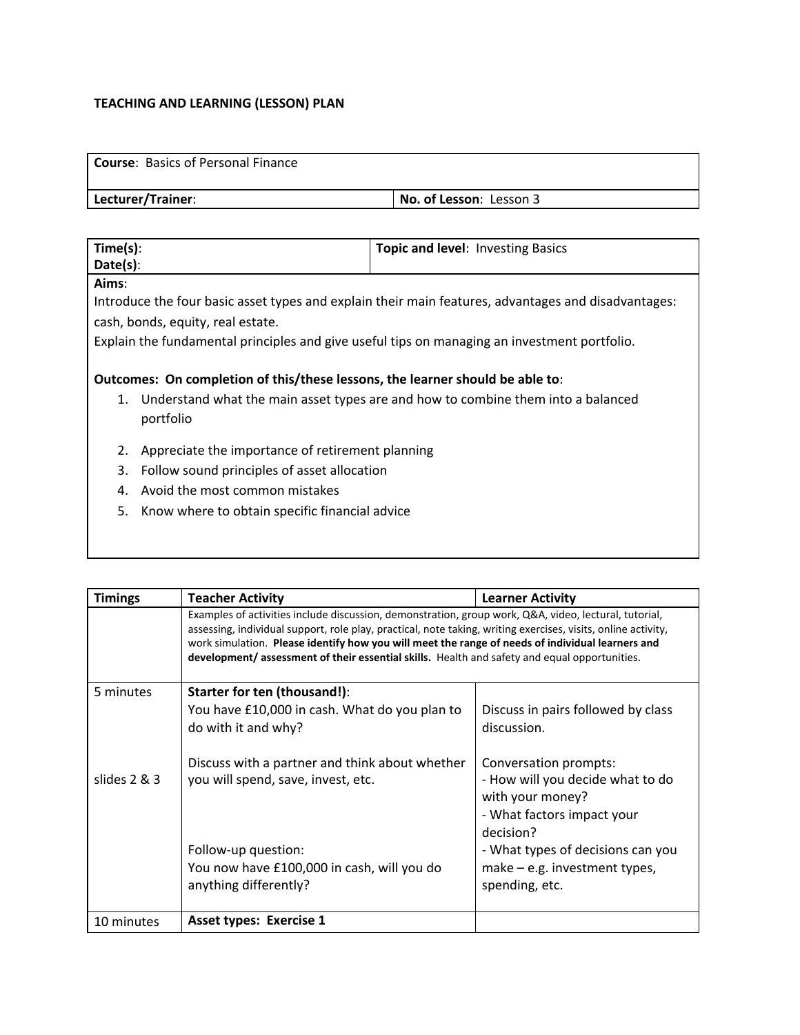## **TEACHING AND LEARNING (LESSON) PLAN**

| <b>Course: Basics of Personal Finance</b> |                         |
|-------------------------------------------|-------------------------|
| Lecturer/Trainer:                         | No. of Lesson: Lesson 3 |

| Time(s):                                                                                            | <b>Topic and level: Investing Basics</b>    |  |
|-----------------------------------------------------------------------------------------------------|---------------------------------------------|--|
| Date(s):                                                                                            |                                             |  |
| Aims:                                                                                               |                                             |  |
| Introduce the four basic asset types and explain their main features, advantages and disadvantages: |                                             |  |
| cash, bonds, equity, real estate.                                                                   |                                             |  |
| Explain the fundamental principles and give useful tips on managing an investment portfolio.        |                                             |  |
|                                                                                                     |                                             |  |
| Outcomes: On completion of this/these lessons, the learner should be able to:                       |                                             |  |
| Understand what the main asset types are and how to combine them into a balanced<br>1.              |                                             |  |
| portfolio                                                                                           |                                             |  |
|                                                                                                     |                                             |  |
| Appreciate the importance of retirement planning<br>2.                                              |                                             |  |
| 3.                                                                                                  | Follow sound principles of asset allocation |  |

- 4. Avoid the most common mistakes
- 5. Know where to obtain specific financial advice

| <b>Timings</b>              | <b>Teacher Activity</b>                                                                                                                                                                                                                                                                                                                                                                                                    | <b>Learner Activity</b>                                                                                                                                                                                                                                                 |
|-----------------------------|----------------------------------------------------------------------------------------------------------------------------------------------------------------------------------------------------------------------------------------------------------------------------------------------------------------------------------------------------------------------------------------------------------------------------|-------------------------------------------------------------------------------------------------------------------------------------------------------------------------------------------------------------------------------------------------------------------------|
|                             | Examples of activities include discussion, demonstration, group work, Q&A, video, lectural, tutorial,<br>assessing, individual support, role play, practical, note taking, writing exercises, visits, online activity,<br>work simulation. Please identify how you will meet the range of needs of individual learners and<br>development/assessment of their essential skills. Health and safety and equal opportunities. |                                                                                                                                                                                                                                                                         |
| 5 minutes<br>slides $2 & 3$ | Starter for ten (thousand!):<br>You have £10,000 in cash. What do you plan to<br>do with it and why?<br>Discuss with a partner and think about whether<br>you will spend, save, invest, etc.<br>Follow-up question:<br>You now have £100,000 in cash, will you do<br>anything differently?                                                                                                                                 | Discuss in pairs followed by class<br>discussion.<br>Conversation prompts:<br>- How will you decide what to do<br>with your money?<br>- What factors impact your<br>decision?<br>- What types of decisions can you<br>make $-$ e.g. investment types,<br>spending, etc. |
| 10 minutes                  | Asset types: Exercise 1                                                                                                                                                                                                                                                                                                                                                                                                    |                                                                                                                                                                                                                                                                         |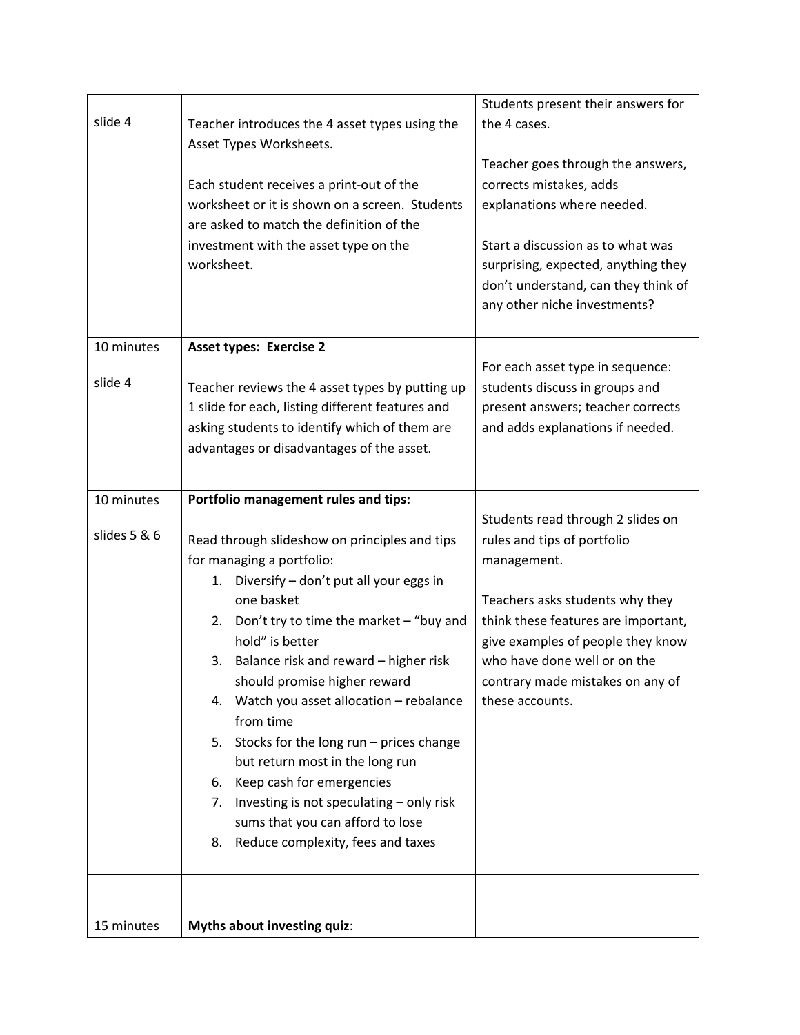| slide 4                    | Teacher introduces the 4 asset types using the<br>Asset Types Worksheets.<br>Each student receives a print-out of the<br>worksheet or it is shown on a screen. Students<br>are asked to match the definition of the<br>investment with the asset type on the<br>worksheet.                                                                                                                                                                                                                                                                                                                                                                                 | Students present their answers for<br>the 4 cases.<br>Teacher goes through the answers,<br>corrects mistakes, adds<br>explanations where needed.<br>Start a discussion as to what was<br>surprising, expected, anything they<br>don't understand, can they think of<br>any other niche investments? |
|----------------------------|------------------------------------------------------------------------------------------------------------------------------------------------------------------------------------------------------------------------------------------------------------------------------------------------------------------------------------------------------------------------------------------------------------------------------------------------------------------------------------------------------------------------------------------------------------------------------------------------------------------------------------------------------------|-----------------------------------------------------------------------------------------------------------------------------------------------------------------------------------------------------------------------------------------------------------------------------------------------------|
| 10 minutes<br>slide 4      | <b>Asset types: Exercise 2</b><br>Teacher reviews the 4 asset types by putting up<br>1 slide for each, listing different features and<br>asking students to identify which of them are<br>advantages or disadvantages of the asset.                                                                                                                                                                                                                                                                                                                                                                                                                        | For each asset type in sequence:<br>students discuss in groups and<br>present answers; teacher corrects<br>and adds explanations if needed.                                                                                                                                                         |
| 10 minutes<br>slides 5 & 6 | Portfolio management rules and tips:<br>Read through slideshow on principles and tips<br>for managing a portfolio:<br>Diversify - don't put all your eggs in<br>1.<br>one basket<br>Don't try to time the market $-$ "buy and<br>2.<br>hold" is better<br>Balance risk and reward - higher risk<br>3.<br>should promise higher reward<br>Watch you asset allocation - rebalance<br>4.<br>from time<br>Stocks for the long run - prices change<br>5.<br>but return most in the long run<br>Keep cash for emergencies<br>6.<br>Investing is not speculating - only risk<br>7.<br>sums that you can afford to lose<br>Reduce complexity, fees and taxes<br>8. | Students read through 2 slides on<br>rules and tips of portfolio<br>management.<br>Teachers asks students why they<br>think these features are important,<br>give examples of people they know<br>who have done well or on the<br>contrary made mistakes on any of<br>these accounts.               |
| 15 minutes                 | Myths about investing quiz:                                                                                                                                                                                                                                                                                                                                                                                                                                                                                                                                                                                                                                |                                                                                                                                                                                                                                                                                                     |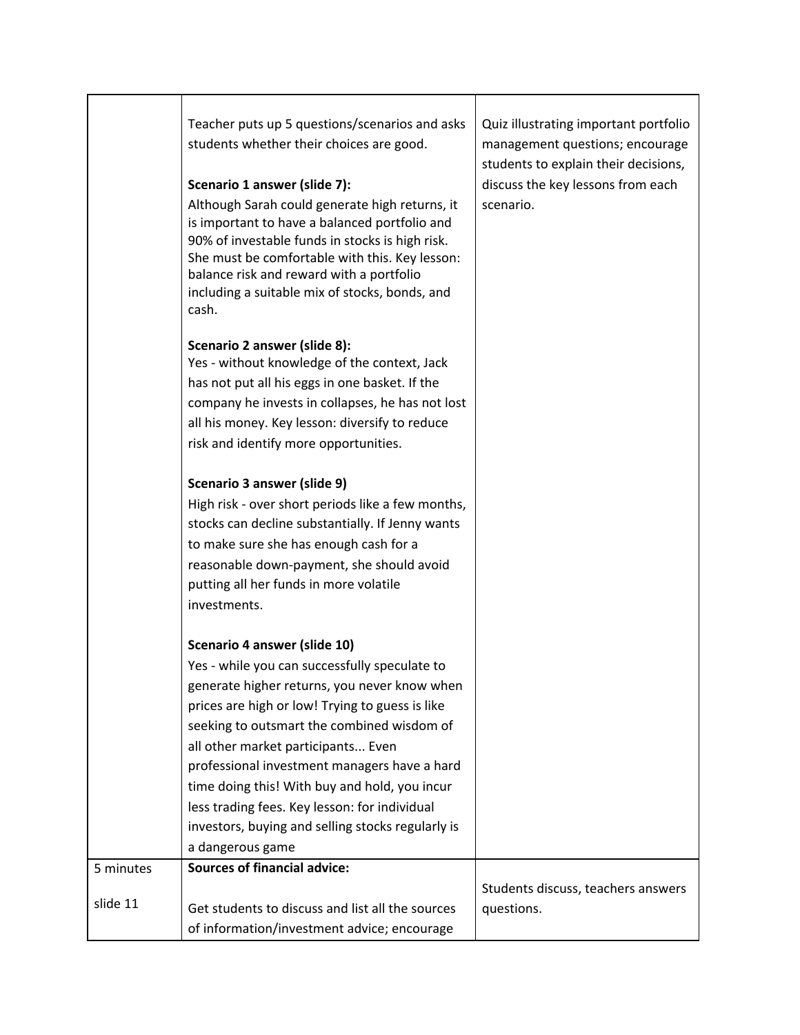|           | Teacher puts up 5 questions/scenarios and asks<br>students whether their choices are good.                                                                                                                                                                                                                  | Quiz illustrating important portfolio<br>management questions; encourage |
|-----------|-------------------------------------------------------------------------------------------------------------------------------------------------------------------------------------------------------------------------------------------------------------------------------------------------------------|--------------------------------------------------------------------------|
|           |                                                                                                                                                                                                                                                                                                             | students to explain their decisions,                                     |
|           | Scenario 1 answer (slide 7):                                                                                                                                                                                                                                                                                | discuss the key lessons from each                                        |
|           | Although Sarah could generate high returns, it<br>is important to have a balanced portfolio and<br>90% of investable funds in stocks is high risk.<br>She must be comfortable with this. Key lesson:<br>balance risk and reward with a portfolio<br>including a suitable mix of stocks, bonds, and<br>cash. | scenario.                                                                |
|           | Scenario 2 answer (slide 8):<br>Yes - without knowledge of the context, Jack                                                                                                                                                                                                                                |                                                                          |
|           | has not put all his eggs in one basket. If the                                                                                                                                                                                                                                                              |                                                                          |
|           | company he invests in collapses, he has not lost                                                                                                                                                                                                                                                            |                                                                          |
|           | all his money. Key lesson: diversify to reduce                                                                                                                                                                                                                                                              |                                                                          |
|           | risk and identify more opportunities.                                                                                                                                                                                                                                                                       |                                                                          |
|           | Scenario 3 answer (slide 9)                                                                                                                                                                                                                                                                                 |                                                                          |
|           | High risk - over short periods like a few months,                                                                                                                                                                                                                                                           |                                                                          |
|           | stocks can decline substantially. If Jenny wants                                                                                                                                                                                                                                                            |                                                                          |
|           | to make sure she has enough cash for a                                                                                                                                                                                                                                                                      |                                                                          |
|           | reasonable down-payment, she should avoid                                                                                                                                                                                                                                                                   |                                                                          |
|           | putting all her funds in more volatile                                                                                                                                                                                                                                                                      |                                                                          |
|           | investments.                                                                                                                                                                                                                                                                                                |                                                                          |
|           | Scenario 4 answer (slide 10)                                                                                                                                                                                                                                                                                |                                                                          |
|           | Yes - while you can successfully speculate to                                                                                                                                                                                                                                                               |                                                                          |
|           | generate higher returns, you never know when                                                                                                                                                                                                                                                                |                                                                          |
|           | prices are high or low! Trying to guess is like                                                                                                                                                                                                                                                             |                                                                          |
|           | seeking to outsmart the combined wisdom of                                                                                                                                                                                                                                                                  |                                                                          |
|           | all other market participants Even                                                                                                                                                                                                                                                                          |                                                                          |
|           | professional investment managers have a hard                                                                                                                                                                                                                                                                |                                                                          |
|           | time doing this! With buy and hold, you incur<br>less trading fees. Key lesson: for individual                                                                                                                                                                                                              |                                                                          |
|           | investors, buying and selling stocks regularly is                                                                                                                                                                                                                                                           |                                                                          |
|           | a dangerous game                                                                                                                                                                                                                                                                                            |                                                                          |
| 5 minutes | <b>Sources of financial advice:</b>                                                                                                                                                                                                                                                                         |                                                                          |
|           |                                                                                                                                                                                                                                                                                                             | Students discuss, teachers answers                                       |
| slide 11  | Get students to discuss and list all the sources                                                                                                                                                                                                                                                            | questions.                                                               |
|           | of information/investment advice; encourage                                                                                                                                                                                                                                                                 |                                                                          |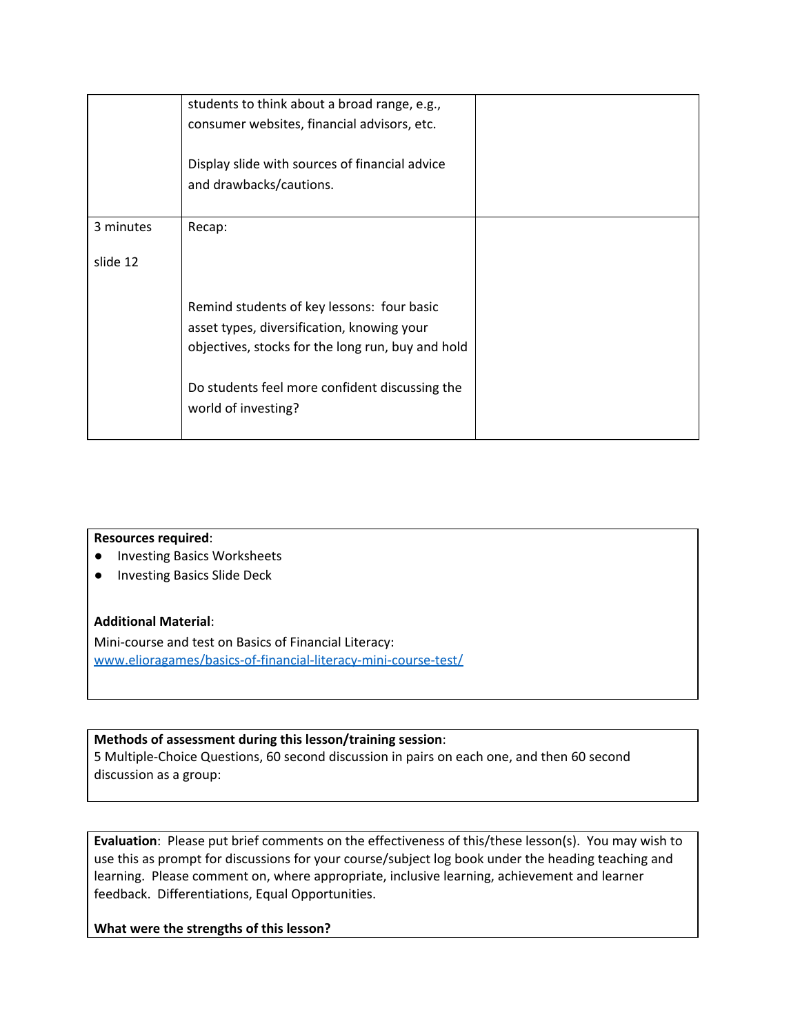|           | students to think about a broad range, e.g.,<br>consumer websites, financial advisors, etc.<br>Display slide with sources of financial advice<br>and drawbacks/cautions.                                               |  |
|-----------|------------------------------------------------------------------------------------------------------------------------------------------------------------------------------------------------------------------------|--|
| 3 minutes | Recap:                                                                                                                                                                                                                 |  |
| slide 12  |                                                                                                                                                                                                                        |  |
|           | Remind students of key lessons: four basic<br>asset types, diversification, knowing your<br>objectives, stocks for the long run, buy and hold<br>Do students feel more confident discussing the<br>world of investing? |  |

## **Resources required**:

- Investing Basics Worksheets
- Investing Basics Slide Deck

## **Additional Material**:

Mini-course and test on Basics of Financial Literacy: [www.elioragames/basics-of-financial-literacy-mini-course-test/](http://www.elioragames/basics-of-financial-literacy-mini-course-test/)

## **Methods of assessment during this lesson/training session**:

5 Multiple-Choice Questions, 60 second discussion in pairs on each one, and then 60 second discussion as a group:

**Evaluation**: Please put brief comments on the effectiveness of this/these lesson(s). You may wish to use this as prompt for discussions for your course/subject log book under the heading teaching and learning. Please comment on, where appropriate, inclusive learning, achievement and learner feedback. Differentiations, Equal Opportunities.

**What were the strengths of this lesson?**